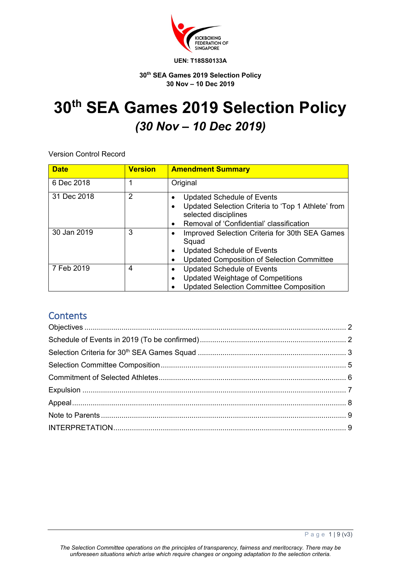

#### **30th SEA Games 2019 Selection Policy 30 Nov – 10 Dec 2019**

# **30th SEA Games 2019 Selection Policy** *(30 Nov – 10 Dec 2019)*

Version Control Record

| <b>Date</b> | <b>Version</b> | <b>Amendment Summary</b>                                                                                                                                    |
|-------------|----------------|-------------------------------------------------------------------------------------------------------------------------------------------------------------|
| 6 Dec 2018  | 1              | Original                                                                                                                                                    |
| 31 Dec 2018 | 2              | <b>Updated Schedule of Events</b><br>Updated Selection Criteria to 'Top 1 Athlete' from<br>selected disciplines<br>Removal of 'Confidential' classification |
| 30 Jan 2019 | 3              | Improved Selection Criteria for 30th SEA Games<br>Squad<br><b>Updated Schedule of Events</b><br><b>Updated Composition of Selection Committee</b>           |
| 7 Feb 2019  | 4              | <b>Updated Schedule of Events</b><br><b>Updated Weightage of Competitions</b><br><b>Updated Selection Committee Composition</b>                             |

# **Contents**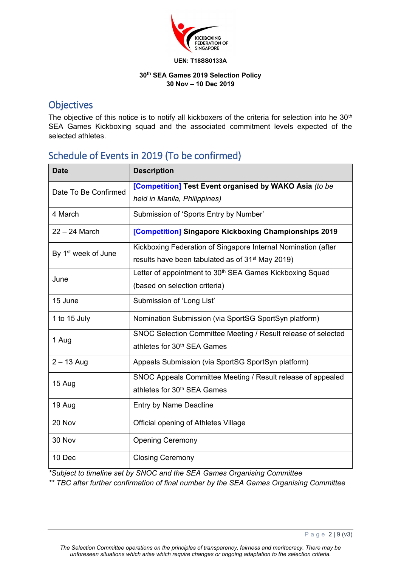

#### **30th SEA Games 2019 Selection Policy 30 Nov – 10 Dec 2019**

### **Objectives**

The objective of this notice is to notify all kickboxers of the criteria for selection into he 30<sup>th</sup> SEA Games Kickboxing squad and the associated commitment levels expected of the selected athletes.

# Schedule of Events in 2019 (To be confirmed)

| <b>Date</b>                     | <b>Description</b>                                                   |  |
|---------------------------------|----------------------------------------------------------------------|--|
| Date To Be Confirmed            | [Competition] Test Event organised by WAKO Asia (to be               |  |
|                                 | held in Manila, Philippines)                                         |  |
| 4 March                         | Submission of 'Sports Entry by Number'                               |  |
| $22 - 24$ March                 | [Competition] Singapore Kickboxing Championships 2019                |  |
| By 1 <sup>st</sup> week of June | Kickboxing Federation of Singapore Internal Nomination (after        |  |
|                                 | results have been tabulated as of 31 <sup>st</sup> May 2019)         |  |
| June                            | Letter of appointment to 30 <sup>th</sup> SEA Games Kickboxing Squad |  |
|                                 | (based on selection criteria)                                        |  |
| 15 June                         | Submission of 'Long List'                                            |  |
| 1 to 15 July                    | Nomination Submission (via SportSG SportSyn platform)                |  |
| 1 Aug                           | SNOC Selection Committee Meeting / Result release of selected        |  |
|                                 | athletes for 30 <sup>th</sup> SEA Games                              |  |
| $2 - 13$ Aug                    | Appeals Submission (via SportSG SportSyn platform)                   |  |
| 15 Aug                          | SNOC Appeals Committee Meeting / Result release of appealed          |  |
|                                 | athletes for 30 <sup>th</sup> SEA Games                              |  |
| 19 Aug                          | Entry by Name Deadline                                               |  |
| 20 Nov                          | Official opening of Athletes Village                                 |  |
| 30 Nov                          | <b>Opening Ceremony</b>                                              |  |
| 10 Dec                          | <b>Closing Ceremony</b>                                              |  |

*\*Subject to timeline set by SNOC and the SEA Games Organising Committee*

*\*\* TBC after further confirmation of final number by the SEA Games Organising Committee*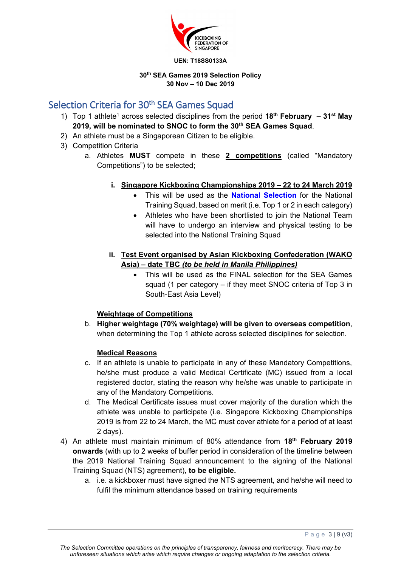

#### **30th SEA Games 2019 Selection Policy 30 Nov – 10 Dec 2019**

# Selection Criteria for 30<sup>th</sup> SEA Games Squad

- 1) Top 1 athlete<sup>1</sup> across selected disciplines from the period 18<sup>th</sup> February 31<sup>st</sup> May **2019, will be nominated to SNOC to form the 30th SEA Games Squad**.
- 2) An athlete must be a Singaporean Citizen to be eligible.
- 3) Competition Criteria
	- a. Athletes **MUST** compete in these **2 competitions** (called "Mandatory Competitions") to be selected;
		- **i. Singapore Kickboxing Championships 2019 – 22 to 24 March 2019**
			- This will be used as the **National Selection** for the National Training Squad, based on merit (i.e. Top 1 or 2 in each category)
			- Athletes who have been shortlisted to join the National Team will have to undergo an interview and physical testing to be selected into the National Training Squad
		- **ii. Test Event organised by Asian Kickboxing Confederation (WAKO Asia) – date TBC** *(to be held in Manila Philippines)*
			- This will be used as the FINAL selection for the SEA Games squad (1 per category – if they meet SNOC criteria of Top 3 in South-East Asia Level)

#### **Weightage of Competitions**

b. **Higher weightage (70% weightage) will be given to overseas competition**, when determining the Top 1 athlete across selected disciplines for selection.

#### **Medical Reasons**

- c. If an athlete is unable to participate in any of these Mandatory Competitions, he/she must produce a valid Medical Certificate (MC) issued from a local registered doctor, stating the reason why he/she was unable to participate in any of the Mandatory Competitions.
- d. The Medical Certificate issues must cover majority of the duration which the athlete was unable to participate (i.e. Singapore Kickboxing Championships 2019 is from 22 to 24 March, the MC must cover athlete for a period of at least 2 days).
- 4) An athlete must maintain minimum of 80% attendance from **18th February 2019 onwards** (with up to 2 weeks of buffer period in consideration of the timeline between the 2019 National Training Squad announcement to the signing of the National Training Squad (NTS) agreement), **to be eligible.**
	- a. i.e. a kickboxer must have signed the NTS agreement, and he/she will need to fulfil the minimum attendance based on training requirements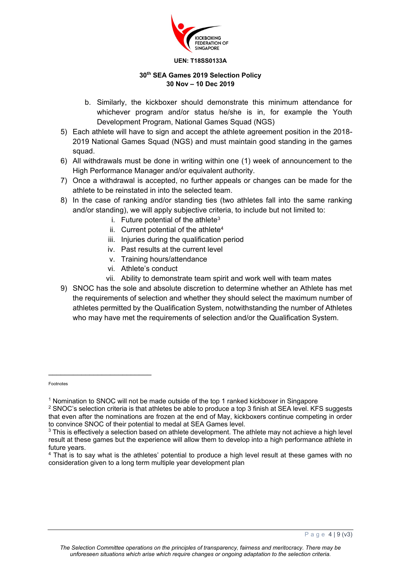

#### **30th SEA Games 2019 Selection Policy 30 Nov – 10 Dec 2019**

- b. Similarly, the kickboxer should demonstrate this minimum attendance for whichever program and/or status he/she is in, for example the Youth Development Program, National Games Squad (NGS)
- 5) Each athlete will have to sign and accept the athlete agreement position in the 2018- 2019 National Games Squad (NGS) and must maintain good standing in the games squad.
- 6) All withdrawals must be done in writing within one (1) week of announcement to the High Performance Manager and/or equivalent authority.
- 7) Once a withdrawal is accepted, no further appeals or changes can be made for the athlete to be reinstated in into the selected team.
- 8) In the case of ranking and/or standing ties (two athletes fall into the same ranking and/or standing), we will apply subjective criteria, to include but not limited to:
	- i. Future potential of the athlete<sup>3</sup>
	- ii. Current potential of the athlete $4$
	- iii. Injuries during the qualification period
	- iv. Past results at the current level
	- v. Training hours/attendance
	- vi. Athlete's conduct
	- vii. Ability to demonstrate team spirit and work well with team mates
- 9) SNOC has the sole and absolute discretion to determine whether an Athlete has met the requirements of selection and whether they should select the maximum number of athletes permitted by the Qualification System, notwithstanding the number of Athletes who may have met the requirements of selection and/or the Qualification System.

Footnotes

<sup>1</sup> Nomination to SNOC will not be made outside of the top 1 ranked kickboxer in Singapore

<sup>&</sup>lt;sup>2</sup> SNOC's selection criteria is that athletes be able to produce a top 3 finish at SEA level. KFS suggests that even after the nominations are frozen at the end of May, kickboxers continue competing in order to convince SNOC of their potential to medal at SEA Games level.

 $3$  This is effectively a selection based on athlete development. The athlete may not achieve a high level result at these games but the experience will allow them to develop into a high performance athlete in future years.

<sup>4</sup> That is to say what is the athletes' potential to produce a high level result at these games with no consideration given to a long term multiple year development plan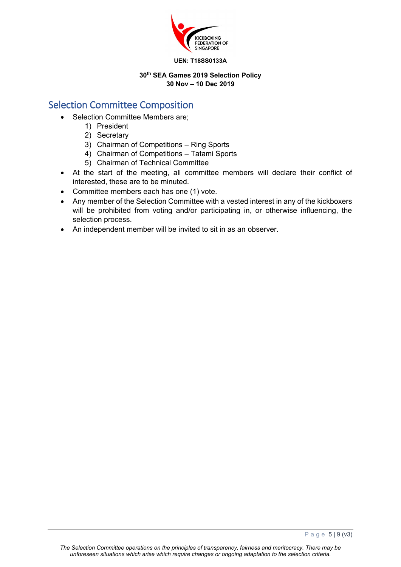

#### **30th SEA Games 2019 Selection Policy 30 Nov – 10 Dec 2019**

# Selection Committee Composition

- Selection Committee Members are:
	- 1) President
	- 2) Secretary
	- 3) Chairman of Competitions Ring Sports
	- 4) Chairman of Competitions Tatami Sports
	- 5) Chairman of Technical Committee
- At the start of the meeting, all committee members will declare their conflict of interested, these are to be minuted.
- Committee members each has one (1) vote.
- Any member of the Selection Committee with a vested interest in any of the kickboxers will be prohibited from voting and/or participating in, or otherwise influencing, the selection process.
- An independent member will be invited to sit in as an observer.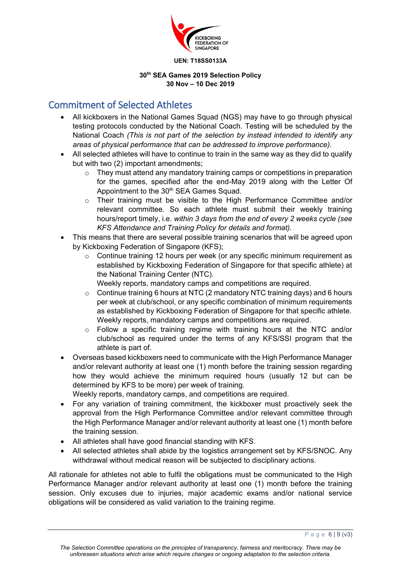

#### **30th SEA Games 2019 Selection Policy 30 Nov – 10 Dec 2019**

### Commitment of Selected Athletes

- All kickboxers in the National Games Squad (NGS) may have to go through physical testing protocols conducted by the National Coach. Testing will be scheduled by the National Coach *(This is not part of the selection by instead intended to identify any areas of physical performance that can be addressed to improve performance).*
- All selected athletes will have to continue to train in the same way as they did to qualify but with two (2) important amendments;
	- o They must attend any mandatory training camps or competitions in preparation for the games, specified after the end-May 2019 along with the Letter Of Appointment to the 30<sup>th</sup> SEA Games Squad.
	- $\circ$  Their training must be visible to the High Performance Committee and/or relevant committee. So each athlete must submit their weekly training hours/report timely, i.e. *within 3 days from the end of every 2 weeks cycle (see KFS Attendance and Training Policy for details and format).*
- This means that there are several possible training scenarios that will be agreed upon by Kickboxing Federation of Singapore (KFS);
	- o Continue training 12 hours per week (or any specific minimum requirement as established by Kickboxing Federation of Singapore for that specific athlete) at the National Training Center (NTC).
		- Weekly reports, mandatory camps and competitions are required.
	- o Continue training 6 hours at NTC (2 mandatory NTC training days) and 6 hours per week at club/school, or any specific combination of minimum requirements as established by Kickboxing Federation of Singapore for that specific athlete. Weekly reports, mandatory camps and competitions are required.
	- $\circ$  Follow a specific training regime with training hours at the NTC and/or club/school as required under the terms of any KFS/SSI program that the athlete is part of.
- Overseas based kickboxers need to communicate with the High Performance Manager and/or relevant authority at least one (1) month before the training session regarding how they would achieve the minimum required hours (usually 12 but can be determined by KFS to be more) per week of training.

Weekly reports, mandatory camps, and competitions are required.

- For any variation of training commitment, the kickboxer must proactively seek the approval from the High Performance Committee and/or relevant committee through the High Performance Manager and/or relevant authority at least one (1) month before the training session.
- All athletes shall have good financial standing with KFS.
- All selected athletes shall abide by the logistics arrangement set by KFS/SNOC. Any withdrawal without medical reason will be subjected to disciplinary actions.

All rationale for athletes not able to fulfil the obligations must be communicated to the High Performance Manager and/or relevant authority at least one (1) month before the training session. Only excuses due to injuries, major academic exams and/or national service obligations will be considered as valid variation to the training regime.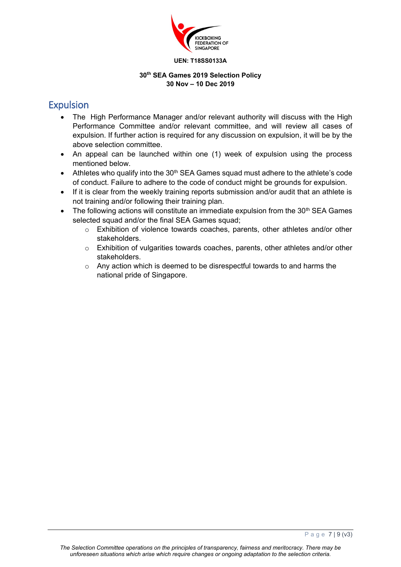

#### **30th SEA Games 2019 Selection Policy 30 Nov – 10 Dec 2019**

# Expulsion

- The High Performance Manager and/or relevant authority will discuss with the High Performance Committee and/or relevant committee, and will review all cases of expulsion. If further action is required for any discussion on expulsion, it will be by the above selection committee.
- An appeal can be launched within one (1) week of expulsion using the process mentioned below.
- Athletes who qualify into the 30<sup>th</sup> SEA Games squad must adhere to the athlete's code of conduct. Failure to adhere to the code of conduct might be grounds for expulsion.
- If it is clear from the weekly training reports submission and/or audit that an athlete is not training and/or following their training plan.
- The following actions will constitute an immediate expulsion from the  $30<sup>th</sup>$  SEA Games selected squad and/or the final SEA Games squad;
	- o Exhibition of violence towards coaches, parents, other athletes and/or other stakeholders.
	- $\circ$  Exhibition of vulgarities towards coaches, parents, other athletes and/or other stakeholders.
	- o Any action which is deemed to be disrespectful towards to and harms the national pride of Singapore.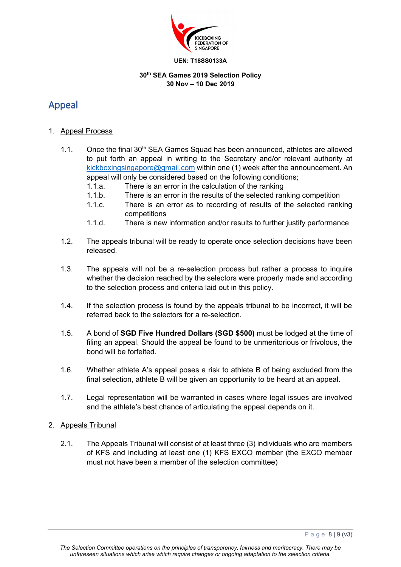

#### **30th SEA Games 2019 Selection Policy 30 Nov – 10 Dec 2019**

# Appeal

#### 1. Appeal Process

- 1.1. Once the final  $30<sup>th</sup>$  SEA Games Squad has been announced, athletes are allowed to put forth an appeal in writing to the Secretary and/or relevant authority at kickboxingsingapore@gmail.com within one (1) week after the announcement. An appeal will only be considered based on the following conditions;
	- 1.1.a. There is an error in the calculation of the ranking
	- 1.1.b. There is an error in the results of the selected ranking competition
	- 1.1.c. There is an error as to recording of results of the selected ranking competitions
	- 1.1.d. There is new information and/or results to further justify performance
- 1.2. The appeals tribunal will be ready to operate once selection decisions have been released.
- 1.3. The appeals will not be a re-selection process but rather a process to inquire whether the decision reached by the selectors were properly made and according to the selection process and criteria laid out in this policy.
- 1.4. If the selection process is found by the appeals tribunal to be incorrect, it will be referred back to the selectors for a re-selection.
- 1.5. A bond of **SGD Five Hundred Dollars (SGD \$500)** must be lodged at the time of filing an appeal. Should the appeal be found to be unmeritorious or frivolous, the bond will be forfeited.
- 1.6. Whether athlete A's appeal poses a risk to athlete B of being excluded from the final selection, athlete B will be given an opportunity to be heard at an appeal.
- 1.7. Legal representation will be warranted in cases where legal issues are involved and the athlete's best chance of articulating the appeal depends on it.

#### 2. Appeals Tribunal

2.1. The Appeals Tribunal will consist of at least three (3) individuals who are members of KFS and including at least one (1) KFS EXCO member (the EXCO member must not have been a member of the selection committee)